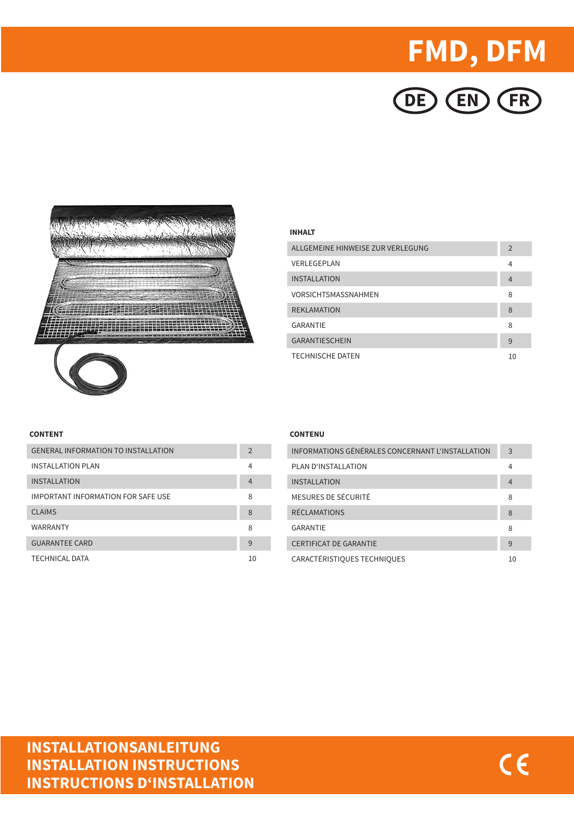# **FMD, DFM**





### **INHALT**

| ALLGEMEINE HINWEISE ZUR VERLEGUNG | $\overline{2}$ |
|-----------------------------------|----------------|
| <b>VERLEGEPLAN</b>                | 4              |
| <b>INSTALLATION</b>               | $\overline{4}$ |
| VORSICHTSMASSNAHMEN               | 8              |
| <b>REKI AMATION</b>               | 8              |
| GARANTIF                          | 8              |
| <b>GARANTIFSCHEIN</b>             | 9              |
| <b>TECHNISCHE DATEN</b>           | 10             |

### **CONTENT**

| <b>GENERAL INFORMATION TO INSTALL ATION</b> | $\overline{2}$ |
|---------------------------------------------|----------------|
| <b>INSTALLATION PLAN</b>                    | 4              |
| <b>INSTALLATION</b>                         | $\overline{4}$ |
| IMPORTANT INFORMATION FOR SAFE USE          | 8              |
| CI AIMS                                     | 8              |
| <b>WARRANTY</b>                             | 8              |
| <b>GUARANTEE CARD</b>                       | 9              |
| <b>TECHNICAL DATA</b>                       | 10             |

### **CONTENU**

| INFORMATIONS GÉNÉRALES CONCERNANT L'INSTALLATION | 3              |
|--------------------------------------------------|----------------|
| PLAN D'INSTALLATION                              | 4              |
| <b>INSTALLATION</b>                              | $\overline{4}$ |
| MESURES DE SÉCURITÉ                              | 8              |
| <b>RÉCLAMATIONS</b>                              | 8              |
| <b>GARANTIF</b>                                  | 8              |
| <b>CERTIFICAT DE GARANTIF</b>                    | 9              |
| CARACTÉRISTIQUES TECHNIQUES                      | 10             |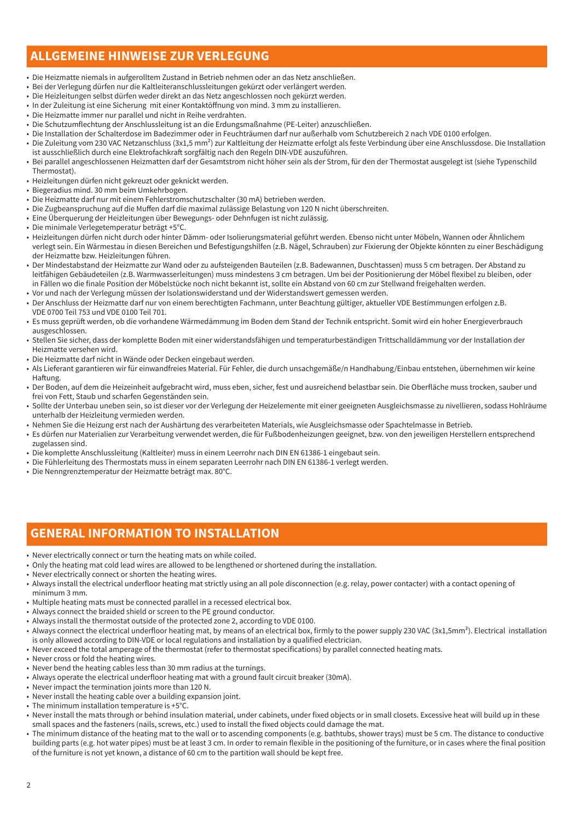# **ALLGEMEINE HINWEISE ZUR VERLEGUNG**

- Die Heizmatte niemals in aufgerolltem Zustand in Betrieb nehmen oder an das Netz anschließen.
- Bei der Verlegung dürfen nur die Kaltleiteranschlussleitungen gekürzt oder verlängert werden.
- Die Heizleitungen selbst dürfen weder direkt an das Netz angeschlossen noch gekürzt werden.
- In der Zuleitung ist eine Sicherung mit einer Kontaktöffnung von mind. 3 mm zu installieren.
- Die Heizmatte immer nur parallel und nicht in Reihe verdrahten.
- Die Schutzumflechtung der Anschlussleitung ist an die Erdungsmaßnahme (PE-Leiter) anzuschließen.
- Die Installation der Schalterdose im Badezimmer oder in Feuchträumen darf nur außerhalb vom Schutzbereich 2 nach VDE 0100 erfolgen.
- Die Zuleitung vom 230 VAC Netzanschluss (3x1,5 mm²) zur Kaltleitung der Heizmatte erfolgt als feste Verbindung über eine Anschlussdose. Die Installation ist ausschließlich durch eine Elektrofachkraft sorgfältig nach den Regeln DIN-VDE auszuführen.
- Bei parallel angeschlossenen Heizmatten darf der Gesamtstrom nicht höher sein als der Strom, für den der Thermostat ausgelegt ist (siehe Typenschild Thermostat).
- Heizleitungen dürfen nicht gekreuzt oder geknickt werden.
- Biegeradius mind. 30 mm beim Umkehrbogen.
- Die Heizmatte darf nur mit einem Fehlerstromschutzschalter (30 mA) betrieben werden.
- Die Zugbeanspruchung auf die Muffen darf die maximal zulässige Belastung von 120 N nicht überschreiten.
- Eine Überquerung der Heizleitungen über Bewegungs- oder Dehnfugen ist nicht zulässig.
- Die minimale Verlegetemperatur beträgt +5°C.
- Heizleitungen dürfen nicht durch oder hinter Dämm- oder Isolierungsmaterial geführt werden. Ebenso nicht unter Möbeln, Wannen oder Ähnlichem verlegt sein. Ein Wärmestau in diesen Bereichen und Befestigungshilfen (z.B. Nägel, Schrauben) zur Fixierung der Objekte könnten zu einer Beschädigung der Heizmatte bzw. Heizleitungen führen.
- Der Mindestabstand der Heizmatte zur Wand oder zu aufsteigenden Bauteilen (z.B. Badewannen, Duschtassen) muss 5 cm betragen. Der Abstand zu leitfähigen Gebäudeteilen (z.B. Warmwasserleitungen) muss mindestens 3 cm betragen. Um bei der Positionierung der Möbel flexibel zu bleiben, oder in Fällen wo die finale Position der Möbelstücke noch nicht bekannt ist, sollte ein Abstand von 60 cm zur Stellwand freigehalten werden.
- Vor und nach der Verlegung müssen der Isolationswiderstand und der Widerstandswert gemessen werden.
- Der Anschluss der Heizmatte darf nur von einem berechtigten Fachmann, unter Beachtung gültiger, aktueller VDE Bestimmungen erfolgen z.B. VDE 0700 Teil 753 und VDE 0100 Teil 701.
- Es muss geprüft werden, ob die vorhandene Wärmedämmung im Boden dem Stand der Technik entspricht. Somit wird ein hoher Energieverbrauch ausgeschlossen.
- Stellen Sie sicher, dass der komplette Boden mit einer widerstandsfähigen und temperaturbeständigen Trittschalldämmung vor der Installation der Heizmatte versehen wird.
- Die Heizmatte darf nicht in Wände oder Decken eingebaut werden.
- Als Lieferant garantieren wir für einwandfreies Material. Für Fehler, die durch unsachgemäße/n Handhabung/Einbau entstehen, übernehmen wir keine Haftung.
- Der Boden, auf dem die Heizeinheit aufgebracht wird, muss eben, sicher, fest und ausreichend belastbar sein. Die Oberfläche muss trocken, sauber und frei von Fett, Staub und scharfen Gegenständen sein.
- Sollte der Unterbau uneben sein, so ist dieser vor der Verlegung der Heizelemente mit einer geeigneten Ausgleichsmasse zu nivellieren, sodass Hohlräume unterhalb der Heizleitung vermieden werden.
- Nehmen Sie die Heizung erst nach der Aushärtung des verarbeiteten Materials, wie Ausgleichsmasse oder Spachtelmasse in Betrieb.
- Es dürfen nur Materialien zur Verarbeitung verwendet werden, die für Fußbodenheizungen geeignet, bzw. von den jeweiligen Herstellern entsprechend zugelassen sind.
- Die komplette Anschlussleitung (Kaltleiter) muss in einem Leerrohr nach DIN EN 61386-1 eingebaut sein.
- Die Fühlerleitung des Thermostats muss in einem separaten Leerrohr nach DIN EN 61386-1 verlegt werden.
- Die Nenngrenztemperatur der Heizmatte beträgt max. 80°C.

### **GENERAL INFORMATION TO INSTALLATION**

- Never electrically connect or turn the heating mats on while coiled.
- Only the heating mat cold lead wires are allowed to be lengthened or shortened during the installation.
- Never electrically connect or shorten the heating wires.
- Always install the electrical underfloor heating mat strictly using an all pole disconnection (e.g. relay, power contacter) with a contact opening of minimum 3 mm.
- Multiple heating mats must be connected parallel in a recessed electrical box.
- Always connect the braided shield or screen to the PE ground conductor.
- Always install the thermostat outside of the protected zone 2, according to VDE 0100.
- Always connect the electrical underfloor heating mat, by means of an electrical box, firmly to the power supply 230 VAC (3x1,5mm²). Electrical installation is only allowed according to DIN-VDE or local regulations and installation by a qualified electrician.
- Never exceed the total amperage of the thermostat (refer to thermostat specifications) by parallel connected heating mats.
- Never cross or fold the heating wires.
- Never bend the heating cables less than 30 mm radius at the turnings.
- Always operate the electrical underfloor heating mat with a ground fault circuit breaker (30mA).
- Never impact the termination joints more than 120 N.
- Never install the heating cable over a building expansion joint.
- The minimum installation temperature is +5°C.
- Never install the mats through or behind insulation material, under cabinets, under fixed objects or in small closets. Excessive heat will build up in these small spaces and the fasteners (nails, screws, etc.) used to install the fixed objects could damage the mat.
- The minimum distance of the heating mat to the wall or to ascending components (e.g. bathtubs, shower trays) must be 5 cm. The distance to conductive building parts (e.g. hot water pipes) must be at least 3 cm. In order to remain flexible in the positioning of the furniture, or in cases where the final position of the furniture is not yet known, a distance of 60 cm to the partition wall should be kept free.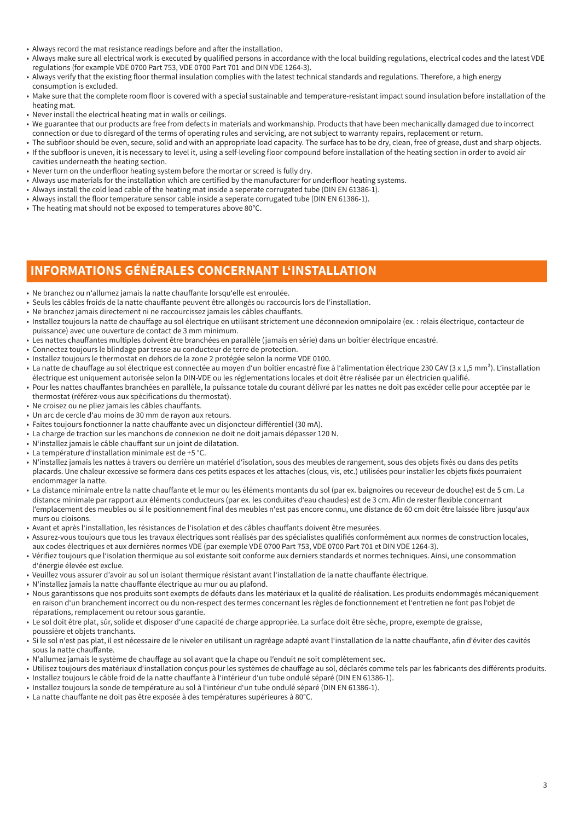- Always record the mat resistance readings before and after the installation.
- Always make sure all electrical work is executed by qualified persons in accordance with the local building regulations, electrical codes and the latest VDE regulations (for example VDE 0700 Part 753, VDE 0700 Part 701 and DIN VDE 1264-3).
- Always verify that the existing floor thermal insulation complies with the latest technical standards and regulations. Therefore, a high energy consumption is excluded.
- Make sure that the complete room floor is covered with a special sustainable and temperature-resistant impact sound insulation before installation of the heating mat.
- Never install the electrical heating mat in walls or ceilings.
- We guarantee that our products are free from defects in materials and workmanship. Products that have been mechanically damaged due to incorrect connection or due to disregard of the terms of operating rules and servicing, are not subject to warranty repairs, replacement or return.
- The subfloor should be even, secure, solid and with an appropriate load capacity. The surface has to be dry, clean, free of grease, dust and sharp objects. • If the subfloor is uneven, it is necessary to level it, using a self-leveling floor compound before installation of the heating section in order to avoid air
- cavities underneath the heating section. • Never turn on the underfloor heating system before the mortar or screed is fully dry.
- Always use materials for the installation which are certified by the manufacturer for underfloor heating systems.
- Always install the cold lead cable of the heating mat inside a seperate corrugated tube (DIN EN 61386-1).
- Always install the floor temperature sensor cable inside a seperate corrugated tube (DIN EN 61386-1).
- The heating mat should not be exposed to temperatures above 80°C.

### **INFORMATIONS GÉNÉRALES CONCERNANT L'INSTALLATION**

- Ne branchez ou n'allumez jamais la natte chauffante lorsqu'elle est enroulée.
- Seuls les câbles froids de la natte chauffante peuvent être allongés ou raccourcis lors de l'installation.
- Ne branchez jamais directement ni ne raccourcissez jamais les câbles chauffants.
- Installez toujours la natte de chauffage au sol électrique en utilisant strictement une déconnexion omnipolaire (ex. : relais électrique, contacteur de puissance) avec une ouverture de contact de 3 mm minimum.
- Les nattes chauffantes multiples doivent être branchées en parallèle (jamais en série) dans un boîtier électrique encastré.
- Connectez toujours le blindage par tresse au conducteur de terre de protection.
- Installez toujours le thermostat en dehors de la zone 2 protégée selon la norme VDE 0100.
- La natte de chauffage au sol électrique est connectée au moyen d'un boîtier encastré fixe à l'alimentation électrique 230 CAV (3 x 1,5 mm²). L'installation électrique est uniquement autorisée selon la DIN-VDE ou les réglementations locales et doit être réalisée par un électricien qualifié.
- Pour les nattes chauffantes branchées en parallèle, la puissance totale du courant délivré par les nattes ne doit pas excéder celle pour acceptée par le thermostat (référez-vous aux spécifications du thermostat).
- Ne croisez ou ne pliez jamais les câbles chauffants.
- Un arc de cercle d'au moins de 30 mm de rayon aux retours.
- Faites toujours fonctionner la natte chauffante avec un disjoncteur différentiel (30 mA).
- La charge de traction sur les manchons de connexion ne doit ne doit jamais dépasser 120 N.
- N'installez jamais le câble chauffant sur un joint de dilatation.
- La température d'installation minimale est de +5 °C.
- N'installez jamais les nattes à travers ou derrière un matériel d'isolation, sous des meubles de rangement, sous des objets fixés ou dans des petits placards. Une chaleur excessive se formera dans ces petits espaces et les attaches (clous, vis, etc.) utilisées pour installer les objets fixés pourraient endommager la natte.
- La distance minimale entre la natte chauffante et le mur ou les éléments montants du sol (par ex. baignoires ou receveur de douche) est de 5 cm. La distance minimale par rapport aux éléments conducteurs (par ex. les conduites d'eau chaudes) est de 3 cm. Afin de rester flexible concernant l'emplacement des meubles ou si le positionnement final des meubles n'est pas encore connu, une distance de 60 cm doit être laissée libre jusqu'aux murs ou cloisons.
- Avant et après l'installation, les résistances de l'isolation et des câbles chauffants doivent être mesurées.
- Assurez-vous toujours que tous les travaux électriques sont réalisés par des spécialistes qualifiés conformément aux normes de construction locales, aux codes électriques et aux dernières normes VDE (par exemple VDE 0700 Part 753, VDE 0700 Part 701 et DIN VDE 1264-3).
- Vérifiez toujours que l'isolation thermique au sol existante soit conforme aux derniers standards et normes techniques. Ainsi, une consommation d'énergie élevée est exclue.
- Veuillez vous assurer d'avoir au sol un isolant thermique résistant avant l'installation de la natte chauffante électrique.
- N'installez jamais la natte chauffante électrique au mur ou au plafond.
- Nous garantissons que nos produits sont exempts de défauts dans les matériaux et la qualité de réalisation. Les produits endommagés mécaniquement en raison d'un branchement incorrect ou du non-respect des termes concernant les règles de fonctionnement et l'entretien ne font pas l'objet de réparations, remplacement ou retour sous garantie.
- Le sol doit être plat, sûr, solide et disposer d'une capacité de charge appropriée. La surface doit être sèche, propre, exempte de graisse, poussière et objets tranchants.
- Si le sol n'est pas plat, il est nécessaire de le niveler en utilisant un ragréage adapté avant l'installation de la natte chauffante, afin d'éviter des cavités sous la natte chauffante.
- N'allumez jamais le système de chauffage au sol avant que la chape ou l'enduit ne soit complètement sec.
- Utilisez toujours des matériaux d'installation conçus pour les systèmes de chauffage au sol, déclarés comme tels par les fabricants des différents produits.
- Installez toujours le câble froid de la natte chauffante à l'intérieur d'un tube ondulé séparé (DIN EN 61386-1).
- Installez toujours la sonde de température au sol à l'intérieur d'un tube ondulé séparé (DIN EN 61386-1).
- La natte chauffante ne doit pas être exposée à des températures supérieures à 80°C.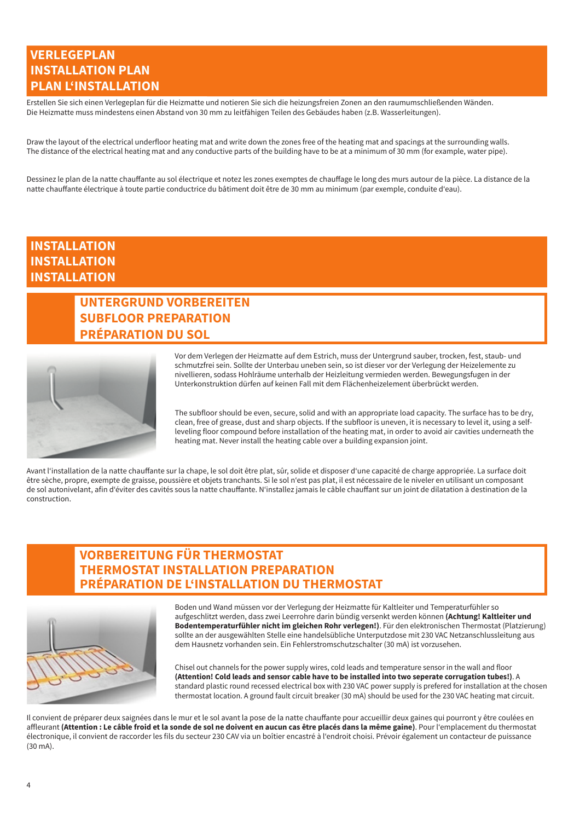### **VERLEGEPLAN INSTALLATION PLAN PLAN L'INSTALLATION**

Erstellen Sie sich einen Verlegeplan für die Heizmatte und notieren Sie sich die heizungsfreien Zonen an den raumumschließenden Wänden. Die Heizmatte muss mindestens einen Abstand von 30 mm zu leitfähigen Teilen des Gebäudes haben (z.B. Wasserleitungen).

Draw the layout of the electrical underfloor heating mat and write down the zones free of the heating mat and spacings at the surrounding walls. The distance of the electrical heating mat and any conductive parts of the building have to be at a minimum of 30 mm (for example, water pipe).

Dessinez le plan de la natte chauffante au sol électrique et notez les zones exemptes de chauffage le long des murs autour de la pièce. La distance de la natte chauffante électrique à toute partie conductrice du bâtiment doit être de 30 mm au minimum (par exemple, conduite d'eau).

### **INSTALLATION INSTALLATION INSTALLATION**

# **UNTERGRUND VORBEREITEN SUBFLOOR PREPARATION PRÉPARATION DU SOL**



Vor dem Verlegen der Heizmatte auf dem Estrich, muss der Untergrund sauber, trocken, fest, staub- und schmutzfrei sein. Sollte der Unterbau uneben sein, so ist dieser vor der Verlegung der Heizelemente zu nivellieren, sodass Hohlräume unterhalb der Heizleitung vermieden werden. Bewegungsfugen in der Unterkonstruktion dürfen auf keinen Fall mit dem Flächenheizelement überbrückt werden.

The subfloor should be even, secure, solid and with an appropriate load capacity. The surface has to be dry, clean, free of grease, dust and sharp objects. If the subfloor is uneven, it is necessary to level it, using a selfleveling floor compound before installation of the heating mat, in order to avoid air cavities underneath the heating mat. Never install the heating cable over a building expansion joint.

Avant l'installation de la natte chauffante sur la chape, le sol doit être plat, sûr, solide et disposer d'une capacité de charge appropriée. La surface doit être sèche, propre, exempte de graisse, poussière et objets tranchants. Si le sol n'est pas plat, il est nécessaire de le niveler en utilisant un composant de sol autonivelant, afin d'éviter des cavités sous la natte chauffante. N'installez jamais le câble chauffant sur un joint de dilatation à destination de la construction.

### **VORBEREITUNG FÜR THERMOSTAT THERMOSTAT INSTALLATION PREPARATION PRÉPARATION DE L'INSTALLATION DU THERMOSTAT**



Boden und Wand müssen vor der Verlegung der Heizmatte für Kaltleiter und Temperaturfühler so aufgeschlitzt werden, dass zwei Leerrohre darin bündig versenkt werden können **(Achtung! Kaltleiter und Bodentemperaturfühler nicht im gleichen Rohr verlegen!)**. Für den elektronischen Thermostat (Platzierung) sollte an der ausgewählten Stelle eine handelsübliche Unterputzdose mit 230 VAC Netzanschlussleitung aus dem Hausnetz vorhanden sein. Ein Fehlerstromschutzschalter (30 mA) ist vorzusehen.

Chisel out channels for the power supply wires, cold leads and temperature sensor in the wall and floor **(Attention! Cold leads and sensor cable have to be installed into two seperate corrugation tubes!)**. A standard plastic round recessed electrical box with 230 VAC power supply is prefered for installation at the chosen thermostat location. A ground fault circuit breaker (30 mA) should be used for the 230 VAC heating mat circuit.

Il convient de préparer deux saignées dans le mur et le sol avant la pose de la natte chauffante pour accueillir deux gaines qui pourront y être coulées en affleurant **(Attention : Le câble froid et la sonde de sol ne doivent en aucun cas être placés dans la même gaine)**. Pour l'emplacement du thermostat électronique, il convient de raccorder les fils du secteur 230 CAV via un boîtier encastré à l'endroit choisi. Prévoir également un contacteur de puissance  $(30 \text{ mA})$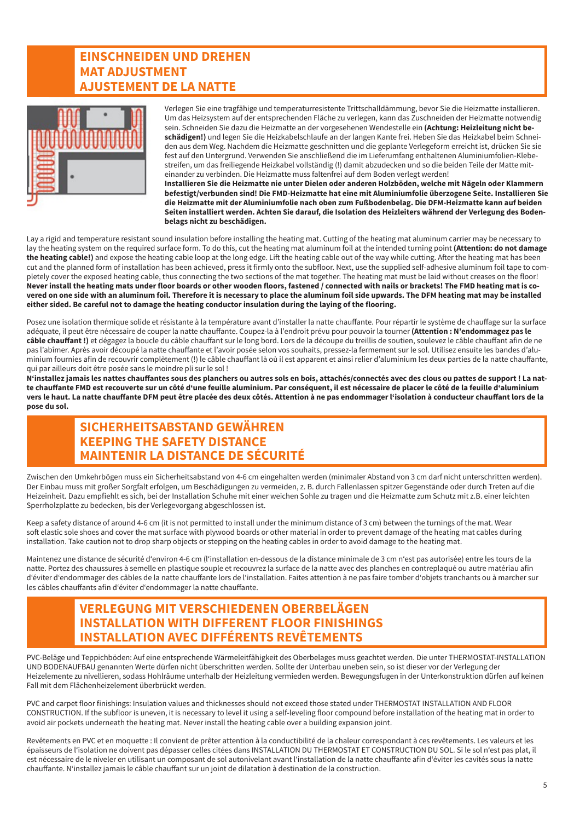### **EINSCHNEIDEN UND DREHEN MAT ADJUSTMENT AJUSTEMENT DE LA NATTE**



Verlegen Sie eine tragfähige und temperaturresistente Trittschalldämmung, bevor Sie die Heizmatte installieren. Um das Heizsystem auf der entsprechenden Fläche zu verlegen, kann das Zuschneiden der Heizmatte notwendig sein. Schneiden Sie dazu die Heizmatte an der vorgesehenen Wendestelle ein **(Achtung: Heizleitung nicht beschädigen!)** und legen Sie die Heizkabelschlaufe an der langen Kante frei. Heben Sie das Heizkabel beim Schneiden aus dem Weg. Nachdem die Heizmatte geschnitten und die geplante Verlegeform erreicht ist, drücken Sie sie fest auf den Untergrund. Verwenden Sie anschließend die im Lieferumfang enthaltenen Aluminiumfolien-Klebestreifen, um das freiliegende Heizkabel vollständig (!) damit abzudecken und so die beiden Teile der Matte miteinander zu verbinden. Die Heizmatte muss faltenfrei auf dem Boden verlegt werden!

**Installieren Sie die Heizmatte nie unter Dielen oder anderen Holzböden, welche mit Nägeln oder Klammern befestigt/verbunden sind! Die FMD-Heizmatte hat eine mit Aluminiumfolie überzogene Seite. Installieren Sie die Heizmatte mit der Aluminiumfolie nach oben zum Fußbodenbelag. Die DFM-Heizmatte kann auf beiden Seiten installiert werden. Achten Sie darauf, die Isolation des Heizleiters während der Verlegung des Bodenbelags nicht zu beschädigen.**

Lay a rigid and temperature resistant sound insulation before installing the heating mat. Cutting of the heating mat aluminum carrier may be necessary to lay the heating system on the required surface form. To do this, cut the heating mat aluminum foil at the intended turning point **(Attention: do not damage the heating cable!)** and expose the heating cable loop at the long edge. Lift the heating cable out of the way while cutting. After the heating mat has been cut and the planned form of installation has been achieved, press it firmly onto the subfloor. Next, use the supplied self-adhesive aluminum foil tape to completely cover the exposed heating cable, thus connecting the two sections of the mat together. The heating mat must be laid without creases on the floor! **Never install the heating mats under floor boards or other wooden floors, fastened / connected with nails or brackets! The FMD heating mat is covered on one side with an aluminum foil. Therefore it is necessary to place the aluminum foil side upwards. The DFM heating mat may be installed either sided. Be careful not to damage the heating conductor insulation during the laying of the flooring.**

Posez une isolation thermique solide et résistante à la température avant d'installer la natte chauffante. Pour répartir le système de chauffage sur la surface adéquate, il peut être nécessaire de couper la natte chauffante. Coupez-la à l'endroit prévu pour pouvoir la tourner **(Attention : N'endommagez pas le câble chauffant !)** et dégagez la boucle du câble chauffant sur le long bord. Lors de la découpe du treillis de soutien, soulevez le câble chauffant afin de ne pas l'abîmer. Après avoir découpé la natte chauffante et l'avoir posée selon vos souhaits, pressez-la fermement sur le sol. Utilisez ensuite les bandes d'aluminium fournies afin de recouvrir complètement (!) le câble chauffant là où il est apparent et ainsi relier d'aluminium les deux parties de la natte chauffante, qui par ailleurs doit être posée sans le moindre pli sur le sol !

**N'installez jamais les nattes chauffantes sous des planchers ou autres sols en bois, attachés/connectés avec des clous ou pattes de support ! La natte chauffante FMD est recouverte sur un côté d'une feuille aluminium. Par conséquent, il est nécessaire de placer le côté de la feuille d'aluminium vers le haut. La natte chauffante DFM peut être placée des deux côtés. Attention à ne pas endommager l'isolation à conducteur chauffant lors de la pose du sol.**

### **SICHERHEITSABSTAND GEWÄHREN KEEPING THE SAFETY DISTANCE MAINTENIR LA DISTANCE DE SÉCURITÉ**

Zwischen den Umkehrbögen muss ein Sicherheitsabstand von 4-6 cm eingehalten werden (minimaler Abstand von 3 cm darf nicht unterschritten werden). Der Einbau muss mit großer Sorgfalt erfolgen, um Beschädigungen zu vermeiden, z. B. durch Fallenlassen spitzer Gegenstände oder durch Treten auf die Heizeinheit. Dazu empfiehlt es sich, bei der Installation Schuhe mit einer weichen Sohle zu tragen und die Heizmatte zum Schutz mit z.B. einer leichten Sperrholzplatte zu bedecken, bis der Verlegevorgang abgeschlossen ist.

Keep a safety distance of around 4-6 cm (it is not permitted to install under the minimum distance of 3 cm) between the turnings of the mat. Wear soft elastic sole shoes and cover the mat surface with plywood boards or other material in order to prevent damage of the heating mat cables during installation. Take caution not to drop sharp objects or stepping on the heating cables in order to avoid damage to the heating mat.

Maintenez une distance de sécurité d'environ 4-6 cm (l'installation en-dessous de la distance minimale de 3 cm n'est pas autorisée) entre les tours de la natte. Portez des chaussures à semelle en plastique souple et recouvrez la surface de la natte avec des planches en contreplaqué ou autre matériau afin d'éviter d'endommager des câbles de la natte chauffante lors de l'installation. Faites attention à ne pas faire tomber d'objets tranchants ou à marcher sur les câbles chauffants afin d'éviter d'endommager la natte chauffante.

### **VERLEGUNG MIT VERSCHIEDENEN OBERBELÄGEN INSTALLATION WITH DIFFERENT FLOOR FINISHINGS INSTALLATION AVEC DIFFÉRENTS REVÊTEMENTS**

PVC-Beläge und Teppichböden: Auf eine entsprechende Wärmeleitfähigkeit des Oberbelages muss geachtet werden. Die unter THERMOSTAT-INSTALLATION UND BODENAUFBAU genannten Werte dürfen nicht überschritten werden. Sollte der Unterbau uneben sein, so ist dieser vor der Verlegung der Heizelemente zu nivellieren, sodass Hohlräume unterhalb der Heizleitung vermieden werden. Bewegungsfugen in der Unterkonstruktion dürfen auf keinen Fall mit dem Flächenheizelement überbrückt werden.

PVC and carpet floor finishings: Insulation values and thicknesses should not exceed those stated under THERMOSTAT INSTALLATION AND FLOOR CONSTRUCTION. If the subfloor is uneven, it is necessary to level it using a self-leveling floor compound before installation of the heating mat in order to avoid air pockets underneath the heating mat. Never install the heating cable over a building expansion joint.

Revêtements en PVC et en moquette : Il convient de prêter attention à la conductibilité de la chaleur correspondant à ces revêtements. Les valeurs et les épaisseurs de l'isolation ne doivent pas dépasser celles citées dans INSTALLATION DU THERMOSTAT ET CONSTRUCTION DU SOL. Si le sol n'est pas plat, il est nécessaire de le niveler en utilisant un composant de sol autonivelant avant l'installation de la natte chauffante afin d'éviter les cavités sous la natte chauffante. N'installez jamais le câble chauffant sur un joint de dilatation à destination de la construction.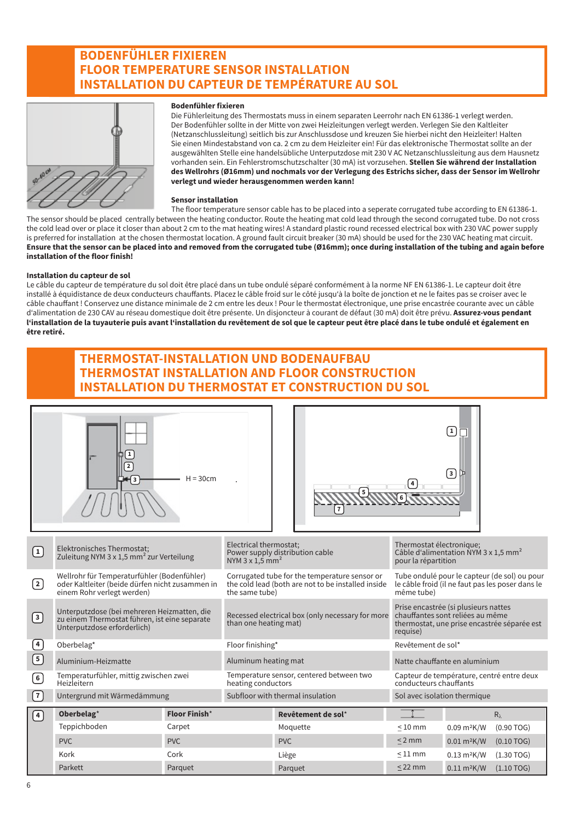### **BODENFÜHLER FIXIEREN FLOOR TEMPERATURE SENSOR INSTALLATION INSTALLATION DU CAPTEUR DE TEMPÉRATURE AU SOL**



#### **Bodenfühler fixieren**

Die Fühlerleitung des Thermostats muss in einem separaten Leerrohr nach EN 61386-1 verlegt werden. Der Bodenfühler sollte in der Mitte von zwei Heizleitungen verlegt werden. Verlegen Sie den Kaltleiter (Netzanschlussleitung) seitlich bis zur Anschlussdose und kreuzen Sie hierbei nicht den Heizleiter! Halten Sie einen Mindestabstand von ca. 2 cm zu dem Heizleiter ein! Für das elektronische Thermostat sollte an der ausgewählten Stelle eine handelsübliche Unterputzdose mit 230 V AC Netzanschlussleitung aus dem Hausnetz vorhanden sein. Ein Fehlerstromschutzschalter (30 mA) ist vorzusehen. **Stellen Sie während der Installation des Wellrohrs (Ø16mm) und nochmals vor der Verlegung des Estrichs sicher, dass der Sensor im Wellrohr verlegt und wieder herausgenommen werden kann!**

#### **Sensor installation**

The floor temperature sensor cable has to be placed into a seperate corrugated tube according to EN 61386-1. The sensor should be placed centrally between the heating conductor. Route the heating mat cold lead through the second corrugated tube. Do not cross the cold lead over or place it closer than about 2 cm to the mat heating wires! A standard plastic round recessed electrical box with 230 VAC power supply is preferred for installation at the chosen thermostat location. A ground fault circuit breaker (30 mA) should be used for the 230 VAC heating mat circuit. **Ensure that the sensor can be placed into and removed from the corrugated tube (Ø16mm); once during installation of the tubing and again before installation of the floor finish!**

#### **Installation du capteur de sol**

Le câble du capteur de température du sol doit être placé dans un tube ondulé séparé conformément à la norme NF EN 61386-1. Le capteur doit être installé à équidistance de deux conducteurs chauffants. Placez le câble froid sur le côté jusqu'à la boîte de jonction et ne le faites pas se croiser avec le câble chauffant ! Conservez une distance minimale de 2 cm entre les deux ! Pour le thermostat électronique, une prise encastrée courante avec un câble d'alimentation de 230 CAV au réseau domestique doit être présente. Un disjoncteur à courant de défaut (30 mA) doit être prévu. **Assurez-vous pendant l'installation de la tuyauterie puis avant l'installation du revêtement de sol que le capteur peut être placé dans le tube ondulé et également en être retiré.**

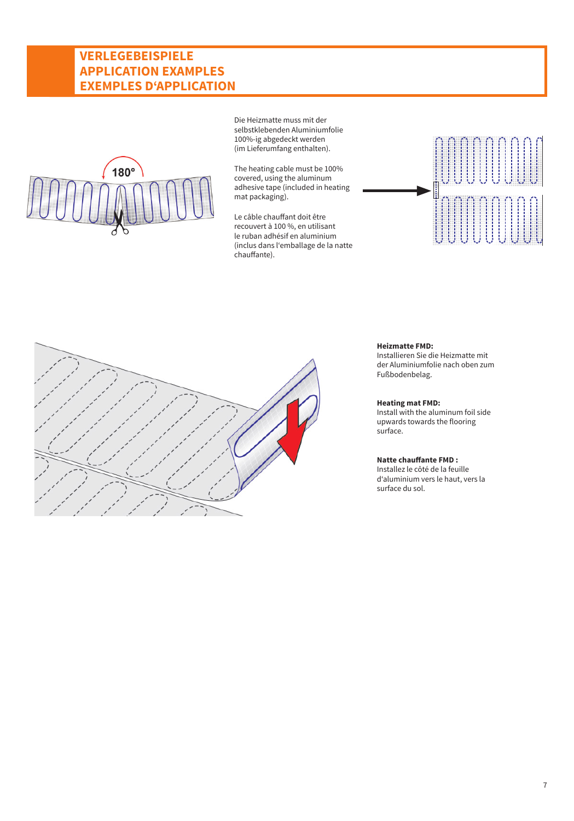### **VERLEGEBEISPIELE APPLICATION EXAMPLES EXEMPLES D'APPLICATION**



Die Heizmatte muss mit der selbstklebenden Aluminiumfolie 100%-ig abgedeckt werden (im Lieferumfang enthalten).

The heating cable must be 100% covered, using the aluminum adhesive tape (included in heating mat packaging).

Le câble chauffant doit être recouvert à 100 %, en utilisant le ruban adhésif en aluminium (inclus dans l'emballage de la natte chauffante).





#### **Heizmatte FMD:**

Installieren Sie die Heizmatte mit der Aluminiumfolie nach oben zum Fußbodenbelag.

### **Heating mat FMD:**

Install with the aluminum foil side upwards towards the flooring surface.

#### **Natte chauffante FMD :**

Installez le côté de la feuille d'aluminium vers le haut, vers la surface du sol.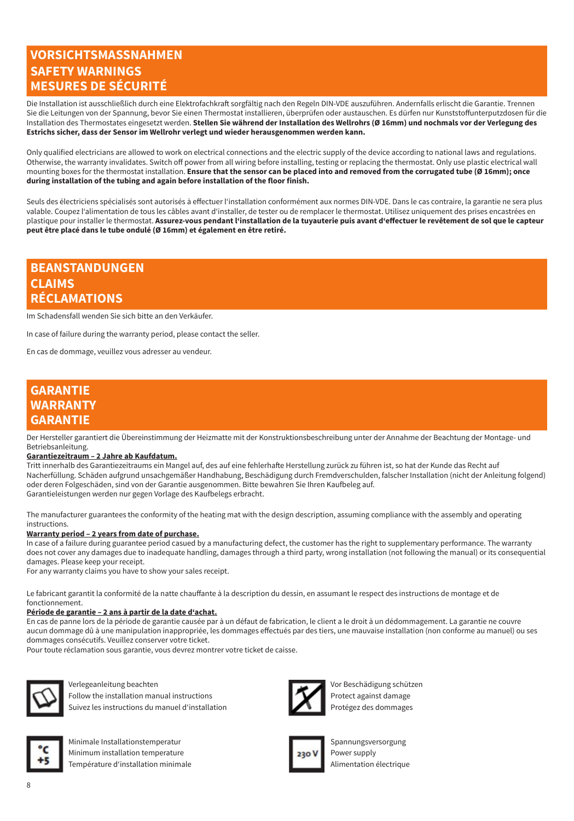### **VORSICHTSMASSNAHMEN SAFETY WARNINGS MESURES DE SÉCURITÉ**

Die Installation ist ausschließlich durch eine Elektrofachkraft sorgfältig nach den Regeln DIN-VDE auszuführen. Andernfalls erlischt die Garantie. Trennen Sie die Leitungen von der Spannung, bevor Sie einen Thermostat installieren, überprüfen oder austauschen. Es dürfen nur Kunststoffunterputzdosen für die Installation des Thermostates eingesetzt werden. **Stellen Sie während der Installation des Wellrohrs (Ø 16mm) und nochmals vor der Verlegung des Estrichs sicher, dass der Sensor im Wellrohr verlegt und wieder herausgenommen werden kann.**

Only qualified electricians are allowed to work on electrical connections and the electric supply of the device according to national laws and regulations. Otherwise, the warranty invalidates. Switch off power from all wiring before installing, testing or replacing the thermostat. Only use plastic electrical wall mounting boxes for the thermostat installation. **Ensure that the sensor can be placed into and removed from the corrugated tube (Ø 16mm); once during installation of the tubing and again before installation of the floor finish.**

Seuls des électriciens spécialisés sont autorisés à effectuer l'installation conformément aux normes DIN-VDE. Dans le cas contraire, la garantie ne sera plus valable. Coupez l'alimentation de tous les câbles avant d'installer, de tester ou de remplacer le thermostat. Utilisez uniquement des prises encastrées en plastique pour installer le thermostat. **Assurez-vous pendant l'installation de la tuyauterie puis avant d'effectuer le revêtement de sol que le capteur peut être placé dans le tube ondulé (Ø 16mm) et également en être retiré.**

### **BEANSTANDUNGEN CLAIMS RÉCLAMATIONS**

Im Schadensfall wenden Sie sich bitte an den Verkäufer.

In case of failure during the warranty period, please contact the seller.

En cas de dommage, veuillez vous adresser au vendeur.

### **GARANTIE WARRANTY GARANTIE**

Der Hersteller garantiert die Übereinstimmung der Heizmatte mit der Konstruktionsbeschreibung unter der Annahme der Beachtung der Montage- und Betriebsanleitung.

#### **Garantiezeitraum – 2 Jahre ab Kaufdatum.**

Tritt innerhalb des Garantiezeitraums ein Mangel auf, des auf eine fehlerhafte Herstellung zurück zu führen ist, so hat der Kunde das Recht auf Nacherfüllung. Schäden aufgrund unsachgemäßer Handhabung, Beschädigung durch Fremdverschulden, falscher Installation (nicht der Anleitung folgend) oder deren Folgeschäden, sind von der Garantie ausgenommen. Bitte bewahren Sie Ihren Kaufbeleg auf. Garantieleistungen werden nur gegen Vorlage des Kaufbelegs erbracht.

The manufacturer guarantees the conformity of the heating mat with the design description, assuming compliance with the assembly and operating instructions.

#### **Warranty period – 2 years from date of purchase.**

In case of a failure during guarantee period casued by a manufacturing defect, the customer has the right to supplementary performance. The warranty does not cover any damages due to inadequate handling, damages through a third party, wrong installation (not following the manual) or its consequential damages. Please keep your receipt.

For any warranty claims you have to show your sales receipt.

Le fabricant garantit la conformité de la natte chauffante à la description du dessin, en assumant le respect des instructions de montage et de fonctionnement.

#### **Période de garantie – 2 ans à partir de la date d'achat.**

En cas de panne lors de la période de garantie causée par à un défaut de fabrication, le client a le droit à un dédommagement. La garantie ne couvre aucun dommage dû à une manipulation inappropriée, les dommages effectués par des tiers, une mauvaise installation (non conforme au manuel) ou ses dommages consécutifs. Veuillez conserver votre ticket.

Pour toute réclamation sous garantie, vous devrez montrer votre ticket de caisse.



Verlegeanleitung beachten Vor Beschädigung schützen Follow the installation manual instructions  $\blacksquare$  Protect against damage Suivez les instructions du manuel d'installation



Minimale Installationstemperatur Spannungsversorgung Minimum installation temperature **Power supply Power supply** Température d'installation minimale Alimentation électrique



Protégez des dommages

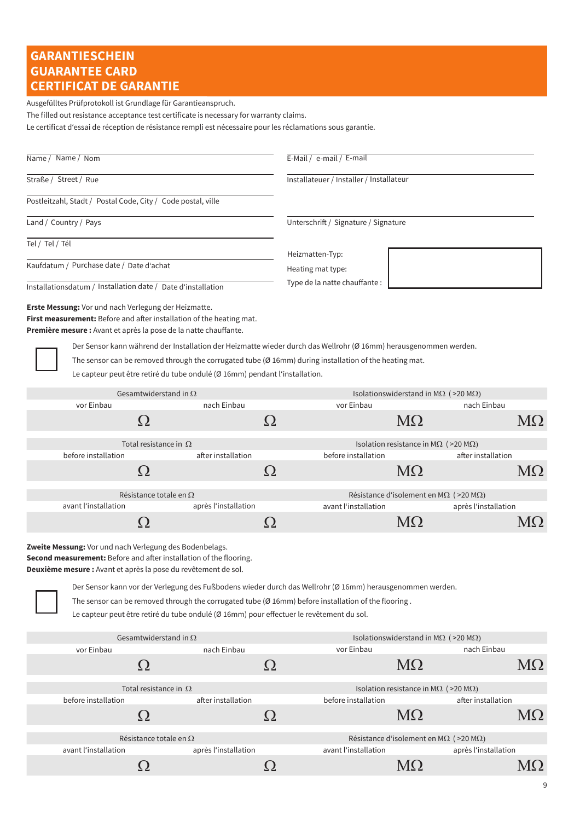# **GARANTIESCHEIN GUARANTEE CARD CERTIFICAT DE GARANTIE**

Ausgefülltes Prüfprotokoll ist Grundlage für Garantieanspruch.

The filled out resistance acceptance test certificate is necessary for warranty claims.

Le certificat d'essai de réception de résistance rempli est nécessaire pour les réclamations sous garantie.

| Name / Name / Nom |                                                                                                                                                                                                                                                                                                                                                                                                                                                                                                                                     |                      | E-Mail / e-mail / E-mail |                                          |                                                      |                                                        |           |
|-------------------|-------------------------------------------------------------------------------------------------------------------------------------------------------------------------------------------------------------------------------------------------------------------------------------------------------------------------------------------------------------------------------------------------------------------------------------------------------------------------------------------------------------------------------------|----------------------|--------------------------|------------------------------------------|------------------------------------------------------|--------------------------------------------------------|-----------|
|                   | Straße / Street / Rue                                                                                                                                                                                                                                                                                                                                                                                                                                                                                                               |                      |                          | Installateuer / Installer / Installateur |                                                      |                                                        |           |
|                   | Postleitzahl, Stadt / Postal Code, City / Code postal, ville                                                                                                                                                                                                                                                                                                                                                                                                                                                                        |                      |                          |                                          |                                                      |                                                        |           |
|                   | Land / Country / Pays                                                                                                                                                                                                                                                                                                                                                                                                                                                                                                               |                      |                          | Unterschrift / Signature / Signature     |                                                      |                                                        |           |
| Tel / Tel / Tél   |                                                                                                                                                                                                                                                                                                                                                                                                                                                                                                                                     |                      |                          | Heizmatten-Typ:                          |                                                      |                                                        |           |
|                   | Kaufdatum / Purchase date / Date d'achat                                                                                                                                                                                                                                                                                                                                                                                                                                                                                            |                      |                          | Heating mat type:                        |                                                      |                                                        |           |
|                   | Installationsdatum / Installation date / Date d'installation                                                                                                                                                                                                                                                                                                                                                                                                                                                                        |                      |                          | Type de la natte chauffante :            |                                                      |                                                        |           |
|                   | <b>Erste Messung:</b> Vor und nach Verlegung der Heizmatte.<br>First measurement: Before and after installation of the heating mat.<br>Première mesure : Avant et après la pose de la natte chauffante.<br>Der Sensor kann während der Installation der Heizmatte wieder durch das Wellrohr (Ø 16mm) herausgenommen werden.<br>The sensor can be removed through the corrugated tube ( $\varnothing$ 16mm) during installation of the heating mat.                                                                                  |                      |                          |                                          |                                                      |                                                        |           |
|                   | Le capteur peut être retiré du tube ondulé (Ø 16mm) pendant l'installation.                                                                                                                                                                                                                                                                                                                                                                                                                                                         |                      |                          |                                          |                                                      |                                                        |           |
|                   | Gesamtwiderstand in $\Omega$                                                                                                                                                                                                                                                                                                                                                                                                                                                                                                        |                      |                          |                                          |                                                      | Isolationswiderstand in M $\Omega$ (>20 M $\Omega$ )   |           |
|                   | vor Einbau                                                                                                                                                                                                                                                                                                                                                                                                                                                                                                                          | nach Einbau          |                          | vor Einbau                               |                                                      | nach Einbau                                            |           |
|                   | Ω                                                                                                                                                                                                                                                                                                                                                                                                                                                                                                                                   |                      | Ω                        |                                          | MΩ                                                   |                                                        | $M\Omega$ |
|                   | Total resistance in $\Omega$                                                                                                                                                                                                                                                                                                                                                                                                                                                                                                        |                      |                          |                                          | Isolation resistance in M $\Omega$ (>20 M $\Omega$ ) |                                                        |           |
|                   | before installation                                                                                                                                                                                                                                                                                                                                                                                                                                                                                                                 | after installation   |                          | before installation                      |                                                      | after installation                                     |           |
|                   | Ω                                                                                                                                                                                                                                                                                                                                                                                                                                                                                                                                   |                      | Ω                        |                                          | MΩ                                                   |                                                        | $M\Omega$ |
|                   | Résistance totale en $\Omega$                                                                                                                                                                                                                                                                                                                                                                                                                                                                                                       |                      |                          |                                          |                                                      | Résistance d'isolement en MΩ (>20 MΩ)                  |           |
|                   | avant l'installation                                                                                                                                                                                                                                                                                                                                                                                                                                                                                                                | après l'installation |                          | avant l'installation                     |                                                      | après l'installation                                   |           |
|                   | Ω                                                                                                                                                                                                                                                                                                                                                                                                                                                                                                                                   |                      | Ω                        |                                          | MΩ                                                   |                                                        | $M\Omega$ |
|                   | Zweite Messung: Vor und nach Verlegung des Bodenbelags.<br><b>Second measurement:</b> Before and after installation of the flooring.<br>Deuxième mesure : Avant et après la pose du revêtement de sol.<br>Der Sensor kann vor der Verlegung des Fußbodens wieder durch das Wellrohr (Ø 16mm) herausgenommen werden.<br>The sensor can be removed through the corrugated tube ( $\varnothing$ 16mm) before installation of the flooring.<br>Le capteur peut être retiré du tube ondulé (Ø 16mm) pour effectuer le revêtement du sol. |                      |                          |                                          |                                                      |                                                        |           |
|                   | Gesamtwiderstand in $\Omega$                                                                                                                                                                                                                                                                                                                                                                                                                                                                                                        |                      |                          |                                          |                                                      | Isolationswiderstand in M $\Omega$ (>20 M $\Omega$ )   |           |
|                   | vor Einbau                                                                                                                                                                                                                                                                                                                                                                                                                                                                                                                          | nach Einbau          |                          | vor Einbau                               |                                                      | nach Einbau                                            |           |
|                   | Ω                                                                                                                                                                                                                                                                                                                                                                                                                                                                                                                                   |                      | Ω                        |                                          | $M\Omega$                                            |                                                        | $M\Omega$ |
|                   | Total resistance in $\Omega$                                                                                                                                                                                                                                                                                                                                                                                                                                                                                                        |                      |                          |                                          | Isolation resistance in M $\Omega$ (>20 M $\Omega$ ) |                                                        |           |
|                   | before installation                                                                                                                                                                                                                                                                                                                                                                                                                                                                                                                 | after installation   |                          | before installation                      |                                                      | after installation                                     |           |
|                   | Ω                                                                                                                                                                                                                                                                                                                                                                                                                                                                                                                                   |                      | Ω                        |                                          | $M\Omega$                                            |                                                        | MΩ        |
|                   | Résistance totale en $\Omega$                                                                                                                                                                                                                                                                                                                                                                                                                                                                                                       |                      |                          |                                          |                                                      | Résistance d'isolement en M $\Omega$ (>20 M $\Omega$ ) |           |
|                   | avant l'installation                                                                                                                                                                                                                                                                                                                                                                                                                                                                                                                | après l'installation |                          | avant l'installation                     |                                                      | après l'installation                                   |           |
|                   | Ω                                                                                                                                                                                                                                                                                                                                                                                                                                                                                                                                   |                      | Ω                        |                                          | MΩ                                                   |                                                        | MΩ        |
|                   |                                                                                                                                                                                                                                                                                                                                                                                                                                                                                                                                     |                      |                          |                                          |                                                      |                                                        |           |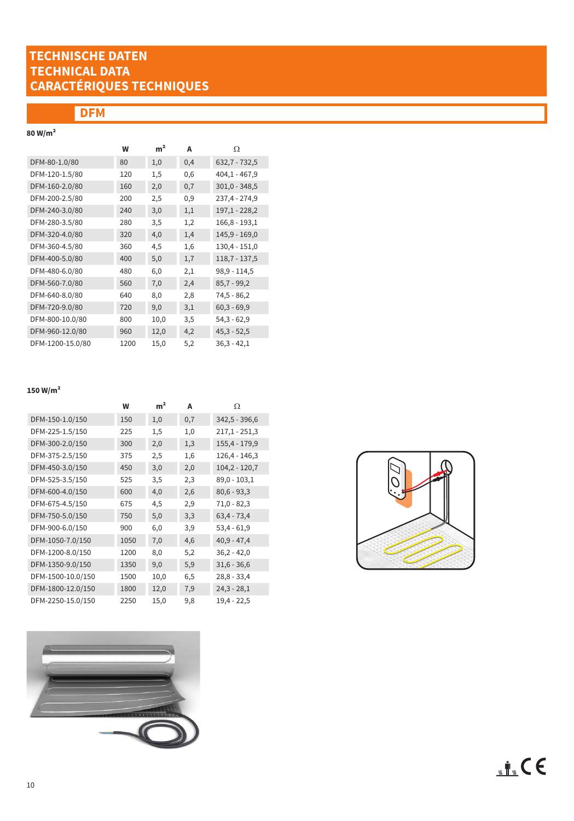# **TECHNISCHE DATEN TECHNICAL DATA CARACTÉRIQUES TECHNIQUES**

# **DFM**

# **80 W/m²**

|                  | W    | m <sup>2</sup> | А        | Ω               |
|------------------|------|----------------|----------|-----------------|
| DFM-80-1.0/80    | 80   | 1,0            | 0,4      | $632,7 - 732,5$ |
| DFM-120-1.5/80   | 120  | 1,5            | 0,6      | $404.1 - 467.9$ |
| DFM-160-2.0/80   | 160  | 2,0            | 0,7      | $301,0 - 348,5$ |
| DFM-200-2.5/80   | 200  | 2,5            | $_{0,9}$ | 237,4 - 274,9   |
| DFM-240-3.0/80   | 240  | 3,0            | 1,1      | $197,1 - 228,2$ |
| DFM-280-3.5/80   | 280  | 3,5            | 1,2      | $166,8 - 193,1$ |
| DFM-320-4.0/80   | 320  | 4,0            | 1,4      | $145,9 - 169,0$ |
| DFM-360-4.5/80   | 360  | 4,5            | 1,6      | $130,4 - 151,0$ |
| DFM-400-5.0/80   | 400  | 5,0            | 1,7      | $118,7 - 137,5$ |
| DFM-480-6.0/80   | 480  | 6,0            | 2,1      | $98,9 - 114,5$  |
| DFM-560-7.0/80   | 560  | 7,0            | 2,4      | $85,7 - 99,2$   |
| DFM-640-8.0/80   | 640  | 8,0            | 2,8      | $74,5 - 86,2$   |
| DFM-720-9.0/80   | 720  | 9,0            | 3,1      | $60,3 - 69,9$   |
| DFM-800-10.0/80  | 800  | 10,0           | 3,5      | $54,3 - 62,9$   |
| DFM-960-12.0/80  | 960  | 12,0           | 4,2      | $45,3 - 52,5$   |
| DFM-1200-15.0/80 | 1200 | 15,0           | 5,2      | $36,3 - 42,1$   |

### **150 W/m²**

|                   | W    | m <sup>2</sup> | A   | Ω               |
|-------------------|------|----------------|-----|-----------------|
| DFM-150-1.0/150   | 150  | 1,0            | 0,7 | $342,5 - 396,6$ |
| DFM-225-1.5/150   | 225  | 1,5            | 1,0 | $217,1 - 251,3$ |
| DFM-300-2.0/150   | 300  | 2,0            | 1,3 | 155,4 - 179,9   |
| DFM-375-2.5/150   | 375  | 2,5            | 1,6 | $126,4 - 146,3$ |
| DFM-450-3.0/150   | 450  | 3,0            | 2,0 | $104,2 - 120,7$ |
| DFM-525-3.5/150   | 525  | 3,5            | 2,3 | $89,0 - 103,1$  |
| DFM-600-4.0/150   | 600  | 4,0            | 2,6 | $80,6 - 93,3$   |
| DFM-675-4.5/150   | 675  | 4,5            | 2,9 | $71,0 - 82,3$   |
| DFM-750-5.0/150   | 750  | 5,0            | 3,3 | $63,4 - 73,4$   |
| DFM-900-6.0/150   | 900  | 6,0            | 3,9 | $53.4 - 61.9$   |
| DFM-1050-7.0/150  | 1050 | 7,0            | 4,6 | $40,9 - 47,4$   |
| DFM-1200-8.0/150  | 1200 | 8,0            | 5,2 | $36,2 - 42,0$   |
| DFM-1350-9.0/150  | 1350 | 9,0            | 5,9 | $31,6 - 36,6$   |
| DFM-1500-10.0/150 | 1500 | 10,0           | 6,5 | $28,8 - 33,4$   |
| DFM-1800-12.0/150 | 1800 | 12,0           | 7,9 | $24,3 - 28,1$   |
| DFM-2250-15.0/150 | 2250 | 15,0           | 9,8 | $19,4 - 22,5$   |



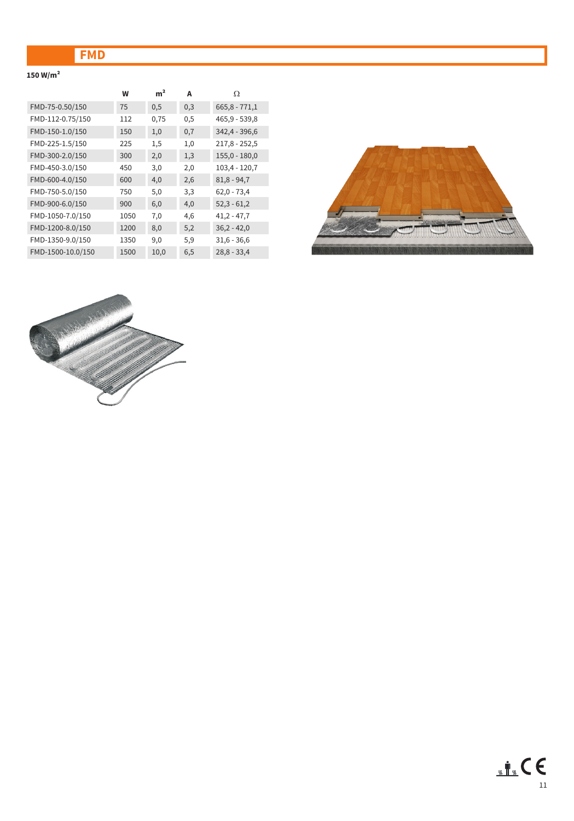# **FMD**

### **150 W/m²**

|                   | W    | m <sup>2</sup> | А   | Ω               |
|-------------------|------|----------------|-----|-----------------|
| FMD-75-0.50/150   | 75   | 0,5            | 0,3 | $665,8 - 771,1$ |
| FMD-112-0.75/150  | 112  | 0,75           | 0,5 | $465,9 - 539,8$ |
| FMD-150-1.0/150   | 150  | 1,0            | 0,7 | 342,4 - 396,6   |
| FMD-225-1.5/150   | 225  | 1,5            | 1,0 | $217,8 - 252,5$ |
| FMD-300-2.0/150   | 300  | 2,0            | 1,3 | $155,0 - 180,0$ |
| FMD-450-3.0/150   | 450  | 3,0            | 2,0 | $103,4 - 120,7$ |
| FMD-600-4.0/150   | 600  | 4,0            | 2,6 | $81,8 - 94,7$   |
| FMD-750-5.0/150   | 750  | 5,0            | 3,3 | $62,0 - 73,4$   |
| FMD-900-6.0/150   | 900  | 6,0            | 4,0 | $52,3 - 61,2$   |
| FMD-1050-7.0/150  | 1050 | 7,0            | 4,6 | $41,2 - 47,7$   |
| FMD-1200-8.0/150  | 1200 | 8,0            | 5,2 | $36,2 - 42,0$   |
| FMD-1350-9.0/150  | 1350 | 9,0            | 5,9 | $31,6 - 36,6$   |
| FMD-1500-10.0/150 | 1500 | 10,0           | 6,5 | $28,8 - 33,4$   |